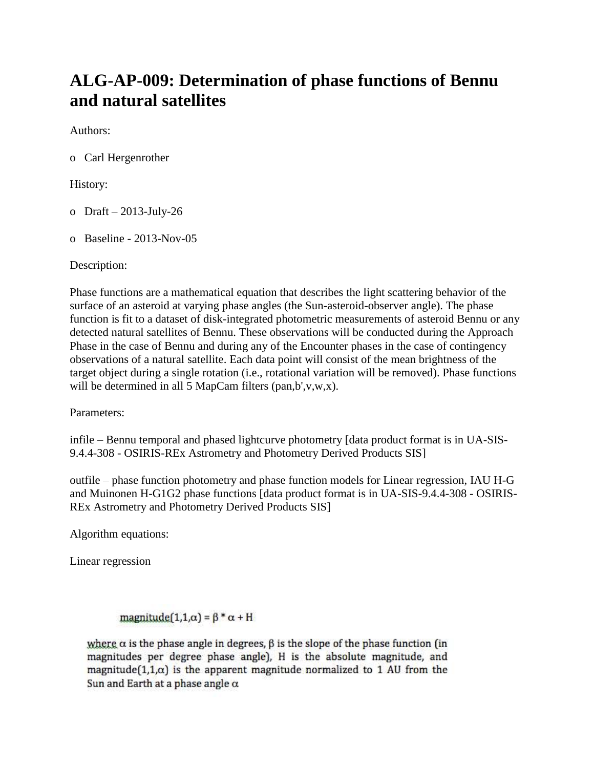## **ALG-AP-009: Determination of phase functions of Bennu and natural satellites**

Authors:

o Carl Hergenrother

History:

- o Draft 2013-July-26
- o Baseline 2013-Nov-05

Description:

Phase functions are a mathematical equation that describes the light scattering behavior of the surface of an asteroid at varying phase angles (the Sun-asteroid-observer angle). The phase function is fit to a dataset of disk-integrated photometric measurements of asteroid Bennu or any detected natural satellites of Bennu. These observations will be conducted during the Approach Phase in the case of Bennu and during any of the Encounter phases in the case of contingency observations of a natural satellite. Each data point will consist of the mean brightness of the target object during a single rotation (i.e., rotational variation will be removed). Phase functions will be determined in all 5 MapCam filters (pan,b',v,w,x).

Parameters:

infile – Bennu temporal and phased lightcurve photometry [data product format is in UA-SIS-9.4.4-308 - OSIRIS-REx Astrometry and Photometry Derived Products SIS]

outfile – phase function photometry and phase function models for Linear regression, IAU H-G and Muinonen H-G1G2 phase functions [data product format is in UA-SIS-9.4.4-308 - OSIRIS-REx Astrometry and Photometry Derived Products SIS]

Algorithm equations:

Linear regression

magnitude $(1,1,\alpha) = \beta^* \alpha + H$ 

where  $\alpha$  is the phase angle in degrees,  $\beta$  is the slope of the phase function (in magnitudes per degree phase angle), H is the absolute magnitude, and magnitude $(1,1,\alpha)$  is the apparent magnitude normalized to 1 AU from the Sun and Earth at a phase angle  $\alpha$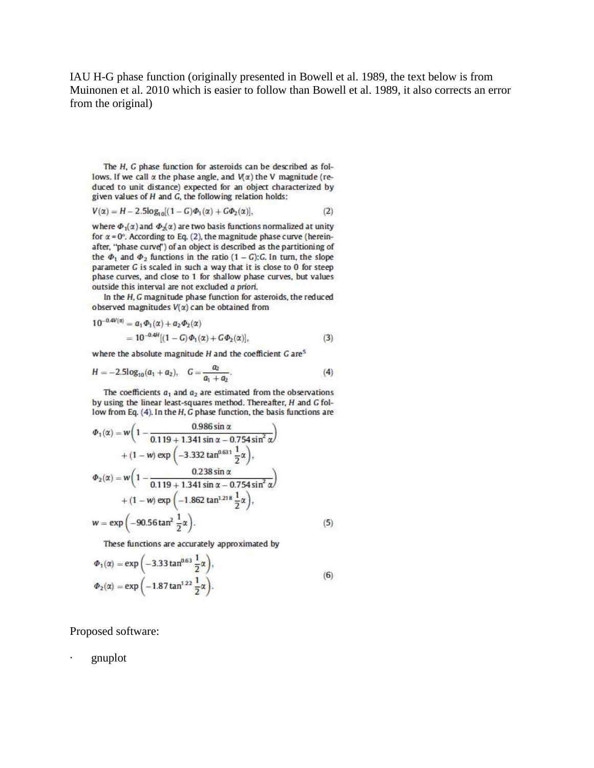IAU H-G phase function (originally presented in Bowell et al. 1989, the text below is from Muinonen et al. 2010 which is easier to follow than Bowell et al. 1989, it also corrects an error from the original)

 $(5)$ 

The H, G phase function for asteroids can be described as follows. If we call  $\alpha$  the phase angle, and  $V(\alpha)$  the V magnitude (reduced to unit distance) expected for an object characterized by given values of H and G, the following relation holds:

$$
V(\alpha) = H - 2.5\log_{10}[(1 - G)\Phi_1(\alpha) + G\Phi_2(\alpha)],\tag{2}
$$

where  $\Phi_1(\alpha)$  and  $\Phi_2(\alpha)$  are two basis functions normalized at unity for  $\alpha$  = 0°. According to Eq. (2), the magnitude phase curve (hereinafter, "phase curve") of an object is described as the partitioning of the  $\Phi_1$  and  $\Phi_2$  functions in the ratio  $(1 - G):G$ . In turn, the slope parameter G is scaled in such a way that it is close to 0 for steep phase curves, and close to 1 for shallow phase curves, but values outside this interval are not excluded a priori.

In the  $H$ ,  $G$  magnitude phase function for asteroids, the reduced observed magnitudes  $V(x)$  can be obtained from

$$
10^{-0.4V(\alpha)} = a_1 \Phi_1(\alpha) + a_2 \Phi_2(\alpha)
$$
  
= 10^{-0.4H}[(1 - G) \Phi\_1(\alpha) + G \Phi\_2(\alpha)], (3)

where the absolute magnitude  $H$  and the coefficient  $G$  are<sup>5</sup>

$$
H = -2.5\log_{10}(a_1 + a_2), \quad G = \frac{a_2}{a_1 + a_2}.
$$
 (4)

The coefficients  $a_1$  and  $a_2$  are estimated from the observations by using the linear least-squares method. Thereafter, H and G follow from Eq. (4). In the H, G phase function, the basis functions are

$$
\Phi_1(\alpha) = w \left( 1 - \frac{0.986 \sin \alpha}{0.119 + 1.341 \sin \alpha - 0.754 \sin^2 \alpha} \right) \n+ (1 - w) \exp \left( -3.332 \tan^{0.631} \frac{1}{2} \alpha \right), \n\Phi_2(\alpha) = w \left( 1 - \frac{0.238 \sin \alpha}{0.119 + 1.341 \sin \alpha - 0.754 \sin^2 \alpha} \right) \n+ (1 - w) \exp \left( -1.862 \tan^{1.218} \frac{1}{2} \alpha \right), \n w = \exp \left( -90.56 \tan^2 \frac{1}{2} \alpha \right).
$$

These functions are accurately approximated by

$$
\Phi_1(\alpha) = \exp\left(-3.33 \tan^{0.63} \frac{1}{2} \alpha\right),\n\Phi_2(\alpha) = \exp\left(-1.87 \tan^{1.22} \frac{1}{2} \alpha\right).
$$
\n(6)

Proposed software:

a.

gnuplot